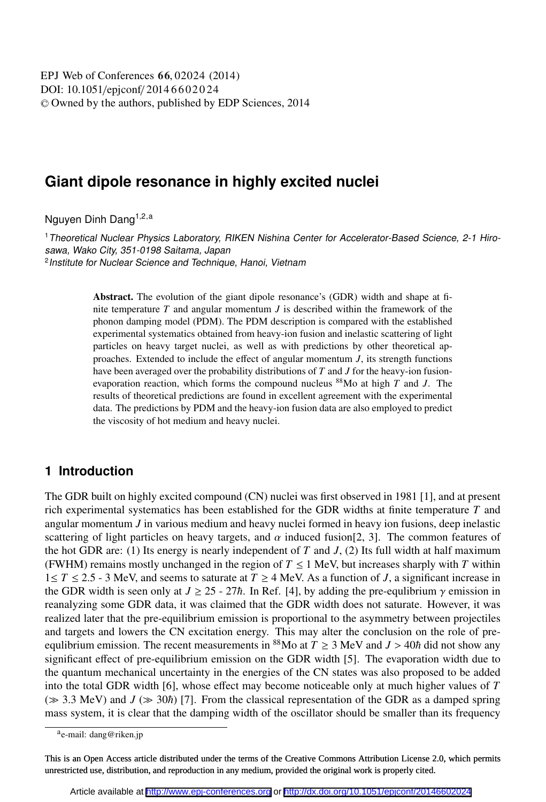DOI: 10.1051/epjconf/ 2014 6 6 0 2 0 2 4 <sup>C</sup> Owned by the authors, published by EDP Sciences, 2014 EPJ Web of Conferences **66**, 02024 (2014)

# **Giant dipole resonance in highly excited nuclei**

Nguyen Dinh Dang<sup>1,2,a</sup>

<sup>1</sup>Theoretical Nuclear Physics Laboratory, RIKEN Nishina Center for Accelerator-Based Science, 2-1 Hirosawa, Wako City, 351-0198 Saitama, Japan 2 Institute for Nuclear Science and Technique, Hanoi, Vietnam

> Abstract. The evolution of the giant dipole resonance's (GDR) width and shape at finite temperature *T* and angular momentum *J* is described within the framework of the phonon damping model (PDM). The PDM description is compared with the established experimental systematics obtained from heavy-ion fusion and inelastic scattering of light particles on heavy target nuclei, as well as with predictions by other theoretical approaches. Extended to include the effect of angular momentum *J*, its strength functions have been averaged over the probability distributions of *T* and *J* for the heavy-ion fusionevaporation reaction, which forms the compound nucleus <sup>88</sup>Mo at high *T* and *J*. The results of theoretical predictions are found in excellent agreement with the experimental data. The predictions by PDM and the heavy-ion fusion data are also employed to predict the viscosity of hot medium and heavy nuclei.

### **1 Introduction**

The GDR built on highly excited compound (CN) nuclei was first observed in 1981 [1], and at present rich experimental systematics has been established for the GDR widths at finite temperature *T* and angular momentum *J* in various medium and heavy nuclei formed in heavy ion fusions, deep inelastic scattering of light particles on heavy targets, and  $\alpha$  induced fusion [2, 3]. The common features of the hot GDR are: (1) Its energy is nearly independent of  $T$  and  $J$ , (2) Its full width at half maximum (FWHM) remains mostly unchanged in the region of  $T \le 1$  MeV, but increases sharply with *T* within 1≤ *T* ≤ 2.5 - 3 MeV, and seems to saturate at *T* ≥ 4 MeV. As a function of *J*, a significant increase in the GDR width is seen only at  $J \ge 25 - 27\hbar$ . In Ref. [4], by adding the pre-equlibrium  $\gamma$  emission in reanalyzing some GDR data, it was claimed that the GDR width does not saturate. However, it was realized later that the pre-equilibrium emission is proportional to the asymmetry between projectiles and targets and lowers the CN excitation energy. This may alter the conclusion on the role of preequlibrium emission. The recent measurements in <sup>88</sup>Mo at  $T \ge 3$  MeV and  $J > 40\hbar$  did not show any significant effect of pre-equilibrium emission on the GDR width [5]. The evaporation width due to the quantum mechanical uncertainty in the energies of the CN states was also proposed to be added into the total GDR width [6], whose effect may become noticeable only at much higher values of *T*  $(\gg 3.3 \text{ MeV})$  and  $J (\gg 30\hbar)$  [7]. From the classical representation of the GDR as a damped spring mass system, it is clear that the damping width of the oscillator should be smaller than its frequency

<sup>&</sup>lt;sup>a</sup>e-mail: dang@riken.jp

This is an Open Access article distributed under the terms of the Creative Commons Attribution License 2.0, which permits unrestricted use, distribution, and reproduction in any medium, provided the original work is properly cited.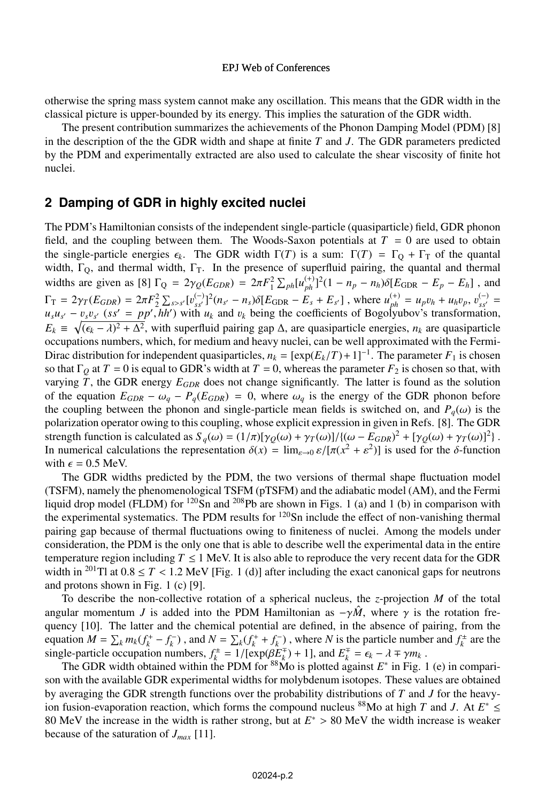#### EPJ Web of Conferences

otherwise the spring mass system cannot make any oscillation. This means that the GDR width in the classical picture is upper-bounded by its energy. This implies the saturation of the GDR width.

The present contribution summarizes the achievements of the Phonon Damping Model (PDM) [8] in the description of the the GDR width and shape at finite *T* and *J*. The GDR parameters predicted by the PDM and experimentally extracted are also used to calculate the shear viscosity of finite hot nuclei.

### **2 Damping of GDR in highly excited nuclei**

The PDM's Hamiltonian consists of the independent single-particle (quasiparticle) field, GDR phonon field, and the coupling between them. The Woods-Saxon potentials at  $T = 0$  are used to obtain the single-particle energies  $\epsilon_k$ . The GDR width  $\Gamma(T)$  is a sum:  $\Gamma(T) = \Gamma_Q + \Gamma_T$  of the quantal width,  $\Gamma_Q$ , and thermal width,  $\Gamma_T$ . In the presence of superfluid pairing, the quantal and thermal widths are given as [8]  $\Gamma_Q = 2\gamma_Q(E_{GDR}) = 2\pi F_1^2 \sum_{ph} [u_{ph}^{(+)}]^2 (1 - n_p - n_h) \delta[E_{GDR} - E_p - E_h]$ , and  $\Gamma_{\rm T} = 2\gamma_T (E_{GDR}) = 2\pi F_2^2 \sum_{s>s'} [v_{ss'}^{(-)}]^2 (n_{s'} - n_s) \delta[E_{GDR} - E_s + E_{s'}]$ , where  $u_{ph}^{(+)} = u_p v_h + u_h v_p$ ,  $v_{ss'}^{(-)} = u_p v_{ss'} + u_h v_p$ ,  $v_{ss'}^{(-)} = u_p v_{ss'} + u_h v_p$ ,  $v_{ss'}^{(-)} = u_p v_h + u_h v_p$ ,  $v_{ss'}^{(-)} = u_p v_h + u_h v_p$ ,  $v_{ss'}^{(-)} = u_p v_h + u_h v_p$  $u_s u_{s'} - v_s v_{s'}$  ( $s s' = p p'$ , *hh*<sup>2</sup>) with  $u_k$  and  $v_k$  being the coefficients of Bogolyubov's transformation,  $E_k \equiv \sqrt{(\epsilon_k - \lambda)^2 + \Delta^2}$ , with superfluid pairing gap  $\Delta$ , are quasiparticle energies, *n<sub>k</sub>* are quasiparticle occupations numbers, which for medium and heavy nuclei, can be well approximated with the Fermioccupations numbers, which, for medium and heavy nuclei, can be well approximated with the Fermi-Dirac distribution for independent quasiparticles,  $n_k = [\exp(E_k/T) + 1]^{-1}$ . The parameter  $F_1$  is chosen<br>so that  $\Gamma_0$  at  $T = 0$  is equal to GDR's width at  $T = 0$ , whereas the parameter  $F_2$  is chosen so that, with so that  $\Gamma_Q$  at  $T = 0$  is equal to GDR's width at  $T = 0$ , whereas the parameter  $F_2$  is chosen so that, with varying *T*, the GDR energy *EGDR* does not change significantly. The latter is found as the solution of the equation  $E_{GDR} - \omega_q - P_q(E_{GDR}) = 0$ , where  $\omega_q$  is the energy of the GDR phonon before the coupling between the phonon and single-particle mean fields is switched on, and  $P_q(\omega)$  is the polarization operator owing to this coupling, whose explicit expression in given in Refs. [8]. The GDR strength function is calculated as  $S_q(\omega) = (1/\pi)[\gamma_Q(\omega) + \gamma_T(\omega)]/((\omega - E_{GDR})^2 + [\gamma_Q(\omega) + \gamma_T(\omega)]^2)$ .<br>In numerical calculations the representation  $\delta(x) = \lim_{\omega \to 0} \delta[\pi(x^2 + s^2)]$  is used for the  $\delta$ -function In numerical calculations the representation  $\delta(x) = \lim_{\varepsilon \to 0} \varepsilon / [\pi(x^2 + \varepsilon^2)]$  is used for the  $\delta$ -function with  $\epsilon = 0.5$  MeV with  $\epsilon = 0.5$  MeV.

The GDR widths predicted by the PDM, the two versions of thermal shape fluctuation model (TSFM), namely the phenomenological TSFM (pTSFM) and the adiabatic model (AM), and the Fermi liquid drop model (FLDM) for  $^{120}$ Sn and  $^{208}$ Pb are shown in Figs. 1 (a) and 1 (b) in comparison with the experimental systematics. The PDM results for  $120\text{Sn}$  include the effect of non-vanishing thermal pairing gap because of thermal fluctuations owing to finiteness of nuclei. Among the models under consideration, the PDM is the only one that is able to describe well the experimental data in the entire temperature region including  $T \le 1$  MeV. It is also able to reproduce the very recent data for the GDR width in <sup>201</sup>Tl at  $0.8 \le T < 1.2$  MeV [Fig. 1 (d)] after including the exact canonical gaps for neutrons and protons shown in Fig. 1 (c) [9].

To describe the non-collective rotation of a spherical nucleus, the *z*-projection *M* of the total angular momentum *J* is added into the PDM Hamiltonian as  $-\gamma \hat{M}$ , where  $\gamma$  is the rotation frequency [10]. The latter and the chemical potential are defined, in the absence of pairing, from the equation  $M = \sum_{k} m_k(f_k^+ - f_k^-)$ , and  $N = \sum_{k} (f_k^+ + f_k^-)$ , where N is the particle number and  $f_k^{\pm}$  are the single-particle occupation numbers  $f^{\pm} - 1/[exp((RF^{\mp}) + 1)]$  and  $F^{\mp} - \epsilon_0 = \lambda \mp \gamma m$ . single-particle occupation numbers,  $f_k^{\pm} = 1/[\exp(\beta \tilde{E}_k^{\mp}) + 1]$ , and  $E_k^{\mp} = \epsilon_k - \lambda \mp \gamma m_k$ .<br>The GDR width obtained within the PDM for <sup>88</sup>Mo is plotted against  $F^*$  in Fig. 1

The GDR width obtained within the PDM for  $88M$ o is plotted against  $E^*$  in Fig. 1 (e) in comparison with the available GDR experimental widths for molybdenum isotopes. These values are obtained by averaging the GDR strength functions over the probability distributions of *T* and *J* for the heavyion fusion-evaporation reaction, which forms the compound nucleus <sup>88</sup>Mo at high *T* and *J*. At  $E^* \leq$ 80 MeV the increase in the width is rather strong, but at  $E^* > 80$  MeV the width increase is weaker because of the saturation of *Jmax* [11].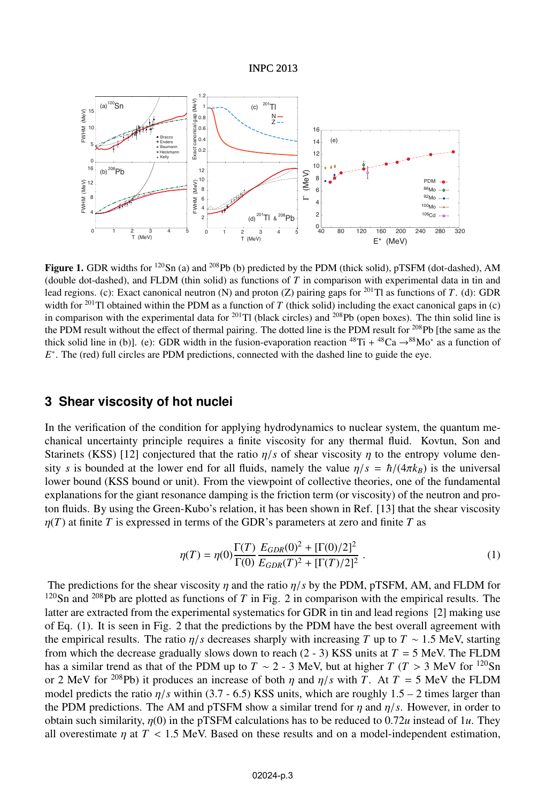#### INPC 2013



Figure 1. GDR widths for <sup>120</sup>Sn (a) and <sup>208</sup>Pb (b) predicted by the PDM (thick solid), pTSFM (dot-dashed), AM (double dot-dashed), and FLDM (thin solid) as functions of *T* in comparison with experimental data in tin and lead regions. (c): Exact canonical neutron (N) and proton (Z) pairing gaps for <sup>201</sup>Tl as functions of *T*. (d): GDR width for <sup>201</sup>Tl obtained within the PDM as a function of *T* (thick solid) including the exact canonical gaps in (c) in comparison with the experimental data for <sup>201</sup>Tl (black circles) and <sup>208</sup>Pb (open boxes). The thin solid line is the PDM result without the effect of thermal pairing. The dotted line is the PDM result for <sup>208</sup>Pb [the same as the thick solid line in (b)]. (e): GDR width in the fusion-evaporation reaction  ${}^{48}\text{Ti} + {}^{48}\text{Ca} \rightarrow {}^{88}\text{Mo}^*$  as a function of *E*<sup>\*</sup>. The (red) full circles are PDM predictions, connected with the dashed line to guide the eye.

## **3 Shear viscosity of hot nuclei**

In the verification of the condition for applying hydrodynamics to nuclear system, the quantum mechanical uncertainty principle requires a finite viscosity for any thermal fluid. Kovtun, Son and Starinets (KSS) [12] conjectured that the ratio  $\eta/s$  of shear viscosity  $\eta$  to the entropy volume density *s* is bounded at the lower end for all fluids, namely the value  $\eta/s = \hbar/(4\pi k_B)$  is the universal lower bound (KSS bound or unit). From the viewpoint of collective theories, one of the fundamental explanations for the giant resonance damping is the friction term (or viscosity) of the neutron and proton fluids. By using the Green-Kubo's relation, it has been shown in Ref. [13] that the shear viscosity  $\eta(T)$  at finite *T* is expressed in terms of the GDR's parameters at zero and finite *T* as

$$
\eta(T) = \eta(0) \frac{\Gamma(T)}{\Gamma(0)} \frac{E_{GDR}(0)^2 + [\Gamma(0)/2]^2}{E_{GDR}(T)^2 + [\Gamma(T)/2]^2} \,. \tag{1}
$$

The predictions for the shear viscosity  $\eta$  and the ratio  $\eta/s$  by the PDM, pTSFM, AM, and FLDM for  $120$ Sn and  $208$ Pb are plotted as functions of *T* in Fig. 2 in comparison with the empirical results. The latter are extracted from the experimental systematics for GDR in tin and lead regions [2] making use of Eq. (1). It is seen in Fig. 2 that the predictions by the PDM have the best overall agreement with the empirical results. The ratio  $\eta/s$  decreases sharply with increasing *T* up to  $T \sim 1.5$  MeV, starting from which the decrease gradually slows down to reach  $(2 - 3)$  KSS units at  $T = 5$  MeV. The FLDM has a similar trend as that of the PDM up to *T* ~ 2 - 3 MeV, but at higher *T* (*T* > 3 MeV for <sup>120</sup>Sn or 2 MeV for <sup>208</sup>Pb) it produces an increase of both  $\eta$  and  $\eta/s$  with *T*. At  $T = 5$  MeV the FLDM model predicts the ratio  $\eta/s$  within (3.7 - 6.5) KSS units, which are roughly 1.5 – 2 times larger than the PDM predictions. The AM and pTSFM show a similar trend for  $\eta$  and  $\eta/s$ . However, in order to obtain such similarity,  $\eta(0)$  in the pTSFM calculations has to be reduced to 0.72*u* instead of 1*u*. They all overestimate  $\eta$  at  $T < 1.5$  MeV. Based on these results and on a model-independent estimation,